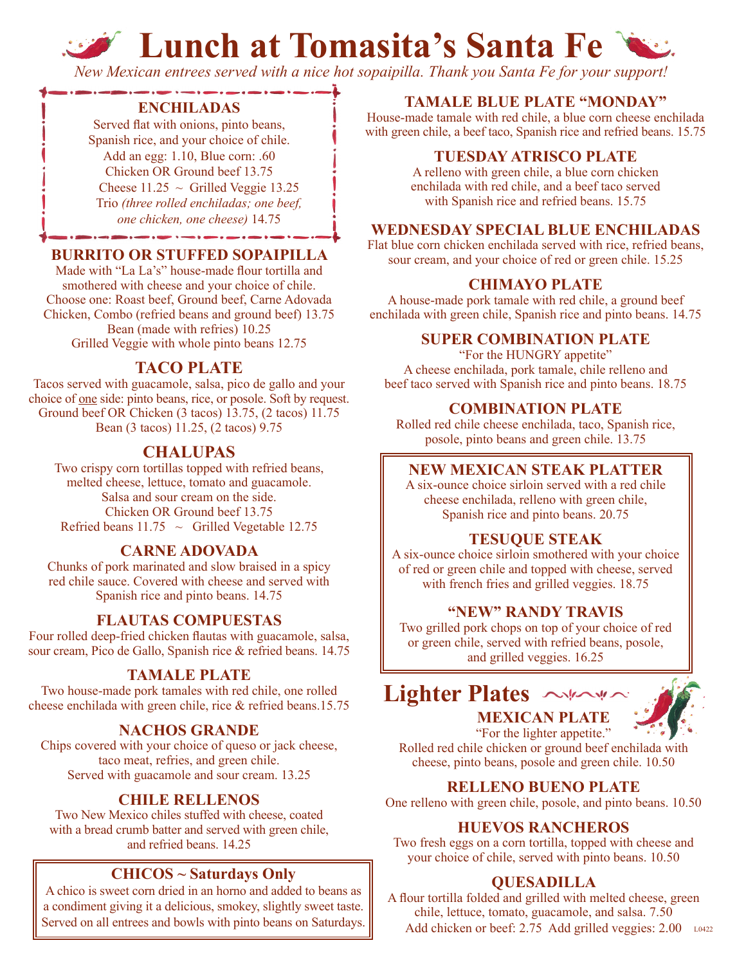# **Lunch at Tomasita's Santa Fe**

*New Mexican entrees served with a nice hot sopaipilla. Thank you Santa Fe for your support!*

#### **ENCHILADAS**

Served flat with onions, pinto beans, Spanish rice, and your choice of chile. Add an egg: 1.10, Blue corn: .60 Chicken OR Ground beef 13.75 Cheese  $11.25 \sim$  Grilled Veggie 13.25 Trio *(three rolled enchiladas; one beef, one chicken, one cheese)* 14.75

#### **BURRITO OR STUFFED SOPAIPILLA**

Made with "La La's" house-made flour tortilla and smothered with cheese and your choice of chile. Choose one: Roast beef, Ground beef, Carne Adovada Chicken, Combo (refried beans and ground beef) 13.75 Bean (made with refries) 10.25 Grilled Veggie with whole pinto beans 12.75

#### **TACO PLATE**

Tacos served with guacamole, salsa, pico de gallo and your choice of one side: pinto beans, rice, or posole. Soft by request. Ground beef OR Chicken (3 tacos) 13.75, (2 tacos) 11.75 Bean (3 tacos) 11.25, (2 tacos) 9.75

#### **CHALUPAS**

Two crispy corn tortillas topped with refried beans, melted cheese, lettuce, tomato and guacamole. Salsa and sour cream on the side. Chicken OR Ground beef 13.75 Refried beans  $11.75 \sim$  Grilled Vegetable 12.75

#### **CARNE ADOVADA**

Chunks of pork marinated and slow braised in a spicy red chile sauce. Covered with cheese and served with Spanish rice and pinto beans. 14.75

#### **FLAUTAS COMPUESTAS**

Four rolled deep-fried chicken flautas with guacamole, salsa, sour cream, Pico de Gallo, Spanish rice & refried beans. 14.75

#### **TAMALE PLATE**

Two house-made pork tamales with red chile, one rolled cheese enchilada with green chile, rice & refried beans.15.75

#### **NACHOS GRANDE**

Chips covered with your choice of queso or jack cheese, taco meat, refries, and green chile. Served with guacamole and sour cream. 13.25

#### **CHILE RELLENOS**

Two New Mexico chiles stuffed with cheese, coated with a bread crumb batter and served with green chile, and refried beans. 14.25

#### **CHICOS ~ Saturdays Only**

A chico is sweet corn dried in an horno and added to beans as a condiment giving it a delicious, smokey, slightly sweet taste.

#### **TAMALE BLUE PLATE "MONDAY"**

House-made tamale with red chile, a blue corn cheese enchilada with green chile, a beef taco, Spanish rice and refried beans. 15.75

#### **TUESDAY ATRISCO PLATE**

A relleno with green chile, a blue corn chicken enchilada with red chile, and a beef taco served with Spanish rice and refried beans. 15.75

#### **WEDNESDAY SPECIAL BLUE ENCHILADAS**

Flat blue corn chicken enchilada served with rice, refried beans, sour cream, and your choice of red or green chile. 15.25

#### **CHIMAYO PLATE**

A house-made pork tamale with red chile, a ground beef enchilada with green chile, Spanish rice and pinto beans. 14.75

#### **SUPER COMBINATION PLATE**

"For the HUNGRY appetite" A cheese enchilada, pork tamale, chile relleno and beef taco served with Spanish rice and pinto beans. 18.75

#### **COMBINATION PLATE**

Rolled red chile cheese enchilada, taco, Spanish rice, posole, pinto beans and green chile. 13.75

#### **NEW MEXICAN STEAK PLATTER**

A six-ounce choice sirloin served with a red chile cheese enchilada, relleno with green chile, Spanish rice and pinto beans. 20.75

#### **TESUQUE STEAK**

A six-ounce choice sirloin smothered with your choice of red or green chile and topped with cheese, served with french fries and grilled veggies. 18.75

#### **"NEW" RANDY TRAVIS**

Two grilled pork chops on top of your choice of red or green chile, served with refried beans, posole, and grilled veggies. 16.25





"For the lighter appetite." Rolled red chile chicken or ground beef enchilada with cheese, pinto beans, posole and green chile. 10.50

#### **RELLENO BUENO PLATE**

One relleno with green chile, posole, and pinto beans. 10.50

#### **HUEVOS RANCHEROS**

Two fresh eggs on a corn tortilla, topped with cheese and your choice of chile, served with pinto beans. 10.50

#### **QUESADILLA**

A flour tortilla folded and grilled with melted cheese, green chile, lettuce, tomato, guacamole, and salsa. 7.50 Served on all entrees and bowls with pinto beans on Saturdays. Add chicken or beef: 2.75 Add grilled veggies: 2.00 L0422